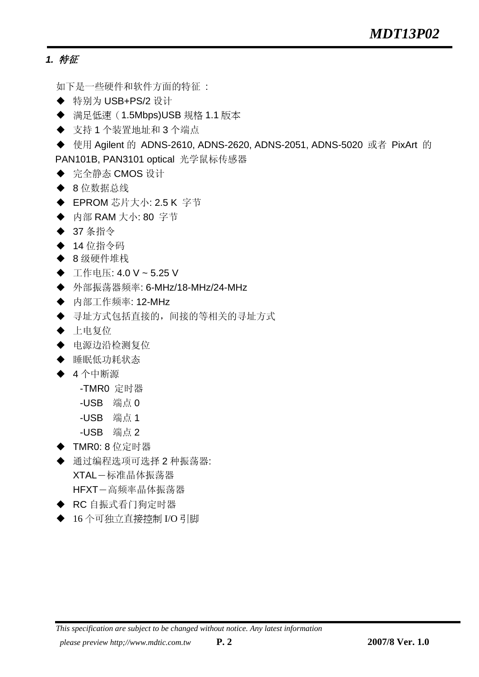### *1.* 特征

如下是一些硬件和软件方面的特征 :

- ◆ 特别为 USB+PS/2 设计
- 满足低速(1.5Mbps)USB 规格 1.1 版本
- ◆ 支持1个装置地址和3个端点
- ◆ 使用 Agilent 的 ADNS-2610, ADNS-2620, ADNS-2051, ADNS-5020 或者 PixArt 的 PAN101B, PAN3101 optical 光学鼠标传感器
- ◆ 完全静态 CMOS 设计
- ◆ 8 位数据总线
- **◆ EPROM 芯片大小: 2.5 K 字节**
- ◆ 内部 RAM 大小: 80 字节
- ◆ 37 条指令
- ◆ 14 位指令码
- ◆ 8 级硬件堆栈
- 工作电压: 4.0 V ~ 5.25 V
- **◆ 外部振荡器频率: 6-MHz/18-MHz/24-MHz**
- ◆ 内部工作频率: 12-MHz
- 寻址方式包括直接的,间接的等相关的寻址方式
- ◆ 上电复位
- 电源边沿检测复位
- ◆ 睡眠低功耗状态
- ◆ 4个中断源
	- -TMR0 定时器
	- -USB 端点 0
	- -USB 端点 1
	- -USB 端点 2
- ◆ TMR0: 8 位定时器
- ◆ 通过编程选项可选择2 种振荡器: XTAL-标准晶体振荡器 HFXT-高频率晶体振荡器
- ◆ RC 自振式看门狗定时器
- ◆ 16个可独立直接控制 I/O 引脚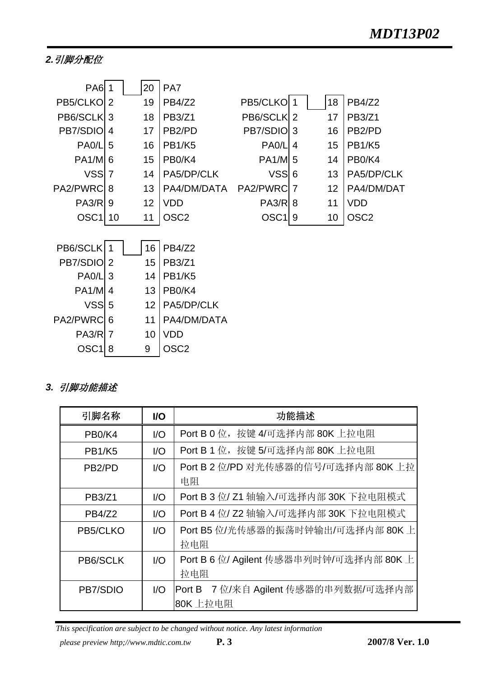## *2.*引脚分配位

| <b>PA6</b> 1       |    | 20 | PA7                             |                    |   |    |                     |
|--------------------|----|----|---------------------------------|--------------------|---|----|---------------------|
| PB5/CLKO           | 2  | 19 | PB4/Z2                          | PB5/CLKO 1         |   | 18 | <b>PB4/Z2</b>       |
| PB6/SCLK 3         |    | 18 | <b>PB3/Z1</b>                   | PB6/SCLK 2         |   | 17 | <b>PB3/Z1</b>       |
| PB7/SDIO           | 4  | 17 | PB <sub>2</sub> /PD             | PB7/SDIO 3         |   | 16 | PB <sub>2</sub> /PD |
| PA <sub>0</sub> /L | 5  | 16 | <b>PB1/K5</b>                   | PA <sub>0</sub> /L | 4 | 15 | <b>PB1/K5</b>       |
| <b>PA1/M 6</b>     |    | 15 | PB <sub>0</sub> /K <sub>4</sub> | <b>PA1/M 5</b>     |   | 14 | PB0/K4              |
| VSS <sub>7</sub>   |    | 14 | PA5/DP/CLK                      | <b>VSS</b>         | 6 | 13 | PA5/DP/CLK          |
| PA2/PWRC           | 8  | 13 | PA4/DM/DATA                     | PA2/PWRC           | 7 | 12 | PA4/DM/DAT          |
| PA3/R              | 9  | 12 | <b>VDD</b>                      | <b>PA3/R 8</b>     |   | 11 | <b>VDD</b>          |
| OSC <sub>1</sub>   | 10 | 11 | OSC <sub>2</sub>                | $OSC1$   9         |   | 10 | OSC <sub>2</sub>    |
|                    |    |    |                                 |                    |   |    |                     |
| PB6/SCLK           |    | 16 | <b>PB4/Z2</b>                   |                    |   |    |                     |
| PB7/SDIO 2         |    | 15 | <b>PB3/Z1</b>                   |                    |   |    |                     |
| PA <sub>0</sub> /L | 3  | 14 | <b>PB1/K5</b>                   |                    |   |    |                     |
| <b>PA1/M 4</b>     |    | 13 | PB <sub>0</sub> /K <sub>4</sub> |                    |   |    |                     |
| $VSS$ 5            |    | 12 | PA5/DP/CLK                      |                    |   |    |                     |
| <b>PA2/PWRC</b>    | 6  | 11 | PA4/DM/DATA                     |                    |   |    |                     |
| <b>PA3/R 7</b>     |    | 10 | <b>VDD</b>                      |                    |   |    |                     |

## *3.* 引脚功能描述

 $OSC1|8$  9 OSC2

| 引脚名称                            | I/O                         | 功能描述                                    |
|---------------------------------|-----------------------------|-----------------------------------------|
| PB <sub>0</sub> /K <sub>4</sub> | 1/O                         | Port B 0 位, 按键 4/可选择内部 80K 上拉电阻         |
| <b>PB1/K5</b>                   | 1/O                         | Port B 1 位, 按键 5/可选择内部 80K 上拉电阻         |
| PB <sub>2</sub> /PD             | 1/O                         | Port B 2 位/PD 对光传感器的信号/可选择内部 80K 上拉     |
|                                 |                             | 电阻                                      |
| PB3/Z1                          | $\mathsf{I}/\mathsf{O}$     | Port B 3 位/ Z1 轴输入/可选择内部 30K 下拉电阻模式     |
| PB4/Z2                          | 1/O                         | Port B 4 位/ Z2 轴输入/可选择内部 30K 下拉电阻模式     |
| PB5/CLKO                        | 1/O                         | Port B5 位/光传感器的振荡时钟输出/可选择内部 80K 上       |
|                                 |                             | 拉电阻                                     |
| PB6/SCLK                        | $\overline{1}/\overline{O}$ | Port B 6 位/ Agilent 传感器串列时钟/可选择内部 80K 上 |
|                                 |                             | 拉电阻                                     |
| PB7/SDIO                        | $\mathsf{IO}$               | 7 位/来自 Agilent 传感器的串列数据/可选择内部<br>Port B |
|                                 |                             | 80K 上拉电阻                                |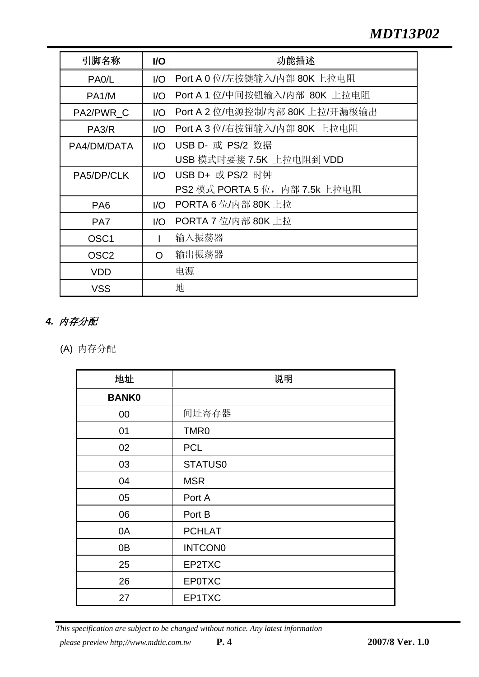# *MDT13P02*

| 引脚名称               | I/O            | 功能描述                            |
|--------------------|----------------|---------------------------------|
| PA <sub>0</sub> /L | 1/O            | Port A 0 位/左按键输入/内部 80K 上拉电阻    |
| PA <sub>1</sub> /M | 1/O            | Port A 1 位/中间按钮输入/内部 80K 上拉电阻   |
| PA2/PWR C          | 1/O            | Port A 2 位/电源控制/内部 80K 上拉/开漏极输出 |
| PA <sub>3</sub> /R | $\overline{U}$ | Port A 3 位/右按钮输入/内部 80K 上拉电阻    |
| PA4/DM/DATA        | 1/O            | USB D- 或 PS/2 数据                |
|                    |                | USB 模式时要接 7.5K 上拉电阻到 VDD        |
| PA5/DP/CLK         | 1/O            | USB D+ 或 PS/2 时钟                |
|                    |                | PS2 模式 PORTA 5 位,内部 7.5k 上拉电阻   |
| PA <sub>6</sub>    | 1/O            | PORTA 6 位/内部 80K 上拉             |
| PA <sub>7</sub>    | 1/O            | PORTA 7 位/内部 80K 上拉             |
| OSC <sub>1</sub>   |                | 输入振荡器                           |
| OSC <sub>2</sub>   | O              | 输出振荡器                           |
| <b>VDD</b>         |                | 电源                              |
| <b>VSS</b>         |                | 地                               |

# *4.* 内存分配

(A) 内存分配

| 地址             | 说明               |
|----------------|------------------|
| <b>BANK0</b>   |                  |
| $00\,$         | 间址寄存器            |
| 01             | TMR <sub>0</sub> |
| 02             | <b>PCL</b>       |
| 03             | STATUS0          |
| 04             | <b>MSR</b>       |
| 05             | Port A           |
| 06             | Port B           |
| 0A             | <b>PCHLAT</b>    |
| 0 <sub>B</sub> | <b>INTCON0</b>   |
| 25             | EP2TXC           |
| 26             | <b>EP0TXC</b>    |
| 27             | EP1TXC           |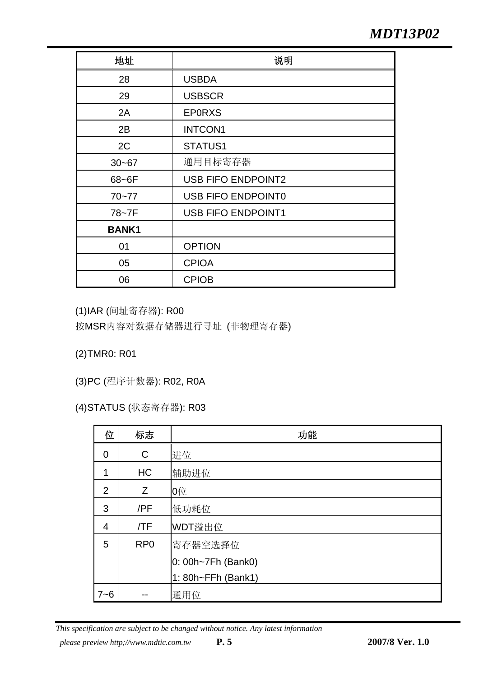| 地址           | 说明                        |
|--------------|---------------------------|
| 28           | <b>USBDA</b>              |
| 29           | <b>USBSCR</b>             |
| 2A           | <b>EPORXS</b>             |
| 2B           | <b>INTCON1</b>            |
| 2C           | STATUS1                   |
| $30 - 67$    | 通用目标寄存器                   |
| 68~6F        | <b>USB FIFO ENDPOINT2</b> |
| $70 - 77$    | <b>USB FIFO ENDPOINT0</b> |
| 78~7F        | <b>USB FIFO ENDPOINT1</b> |
| <b>BANK1</b> |                           |
| 01           | <b>OPTION</b>             |
| 05           | <b>CPIOA</b>              |
| 06           | <b>CPIOB</b>              |

(1) IAR (间址寄存器): R00

按MSR内容对数据存储器进行寻址 (非物理寄存器)

(2) TMR0: R01

(3) PC (程序计数器): R02, R0A

(4) STATUS (状态寄存器): R03

| 位              | 标志              | 功能                 |
|----------------|-----------------|--------------------|
| $\overline{0}$ | $\mathsf C$     | 进位                 |
| 1              | <b>HC</b>       | 辅助进位               |
| 2              | Z               | 0位                 |
| 3              | /PF             | 低功耗位               |
| $\overline{4}$ | /TF             | WDT溢出位             |
| 5              | RP <sub>0</sub> | 寄存器空选择位            |
|                |                 | 0: 00h~7Fh (Bank0) |
|                |                 | 1: 80h~FFh (Bank1) |
| $7 - 6$        |                 | 通用位                |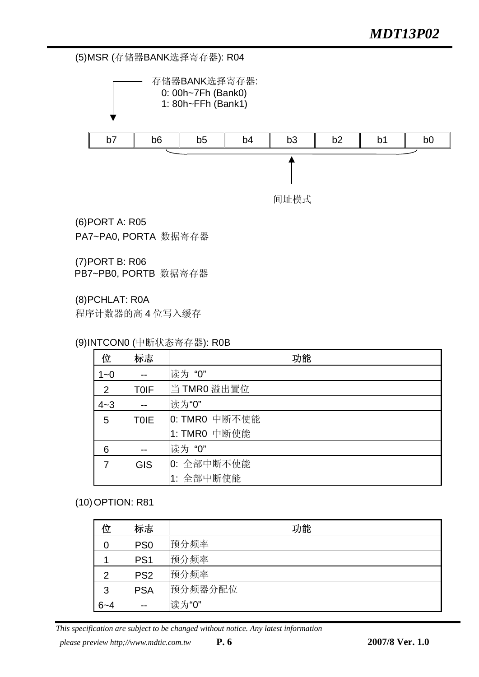#### (5) MSR (存储器BANK选择寄存器): R04



(6) PORT A: R05 PA7~PA0, PORTA 数据寄存器

(7) PORT B: R06 PB7~PB0, PORTB 数据寄存器

(8) PCHLAT: R0A

程序计数器的高 4 位写入缓存

#### (9) INTCON0 (中断状态寄存器): R0B

| 位       | 标志          | 功能            |
|---------|-------------|---------------|
| $1 - 0$ |             | 读为"0"         |
| 2       | <b>TOIF</b> | 当 TMRO 溢出置位   |
| $4 - 3$ |             | 读为"0"         |
| 5       | <b>TOIE</b> | 0: TMR0 中断不使能 |
|         |             | 1: TMR0 中断使能  |
| 6       |             | 读为"0"         |
|         | <b>GIS</b>  | 0: 全部中断不使能    |
|         |             | 1: 全部中断使能     |

#### (10) OPTION: R81

| 位       | 标志              | 功能      |
|---------|-----------------|---------|
| 0       | PS <sub>0</sub> | 预分频率    |
|         | PS <sub>1</sub> | 预分频率    |
| 2       | PS <sub>2</sub> | 预分频率    |
| 3       | <b>PSA</b>      | 预分频器分配位 |
| $6 - 4$ | --              | 读为"0"   |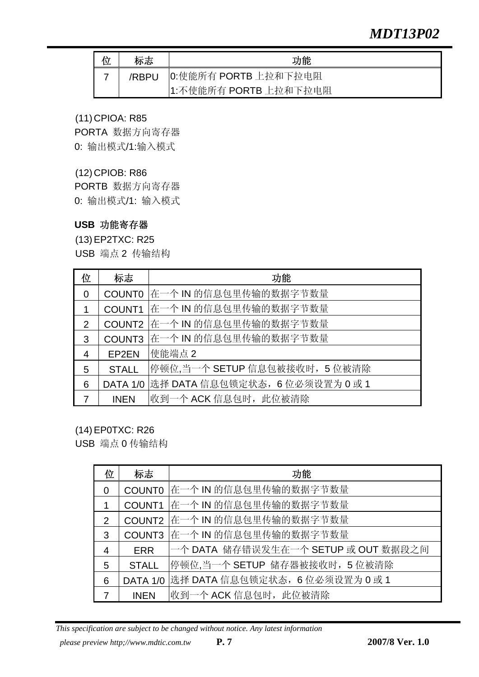# *MDT13P02*

| 标志    | 功能                    |
|-------|-----------------------|
| /RBPU | 0:使能所有 PORTB 上拉和下拉电阻  |
|       | 1:不使能所有 PORTB 上拉和下拉电阻 |

#### (11) CPIOA: R85

PORTA 数据方向寄存器 0: 输出模式/1:输入模式

### (12) CPIOB: R86

PORTB 数据方向寄存器 0: 输出模式/1: 输入模式

#### **USB** 功能寄存器

(13) EP2TXC: R25 USB 端点 2 传输结构

| 位              | 标志            | 功能                             |
|----------------|---------------|--------------------------------|
| $\Omega$       | <b>COUNT0</b> | 在一个 IN 的信息包里传输的数据字节数量          |
|                | COUNT1        | 在一个 IN 的信息包里传输的数据字节数量          |
| $\mathcal{P}$  | COUNT2        | 在一个 IN 的信息包里传输的数据字节数量          |
| 3              | COUNT3        | 在一个 IN 的信息包里传输的数据字节数量          |
| $\overline{4}$ | EP2EN         | 使能端点 2                         |
| 5              | <b>STALL</b>  | 停顿位,当一个 SETUP 信息包被接收时, 5 位被清除  |
| 6              | DATA 1/0      | 选择 DATA 信息包锁定状态, 6位必须设置为 0 或 1 |
|                | <b>INEN</b>   | 收到一个 ACK 信息包时,此位被清除            |

(14) EP0TXC: R26

USB 端点 0 传输结构

| 位              | 标志           | 功能                                       |
|----------------|--------------|------------------------------------------|
| $\Omega$       |              | COUNTO 在一个 IN 的信息包里传输的数据字节数量             |
| $\mathbf 1$    |              | COUNT1 在一个 IN 的信息包里传输的数据字节数量             |
| 2              |              | COUNT2 在一个 IN 的信息包里传输的数据字节数量             |
| 3              |              | COUNT3 在一个 IN 的信息包里传输的数据字节数量             |
| $\overline{4}$ | <b>ERR</b>   | 一个 DATA 储存错误发生在一个 SETUP 或 OUT 数据段之间      |
| 5              | <b>STALL</b> | 停顿位,当一个 SETUP 储存器被接收时, 5 位被清除            |
| 6              |              | DATA 1/0 选择 DATA 信息包锁定状态, 6 位必须设置为 0 或 1 |
| 7              | <b>INEN</b>  | 收到一个 ACK 信息包时, 此位被清除                     |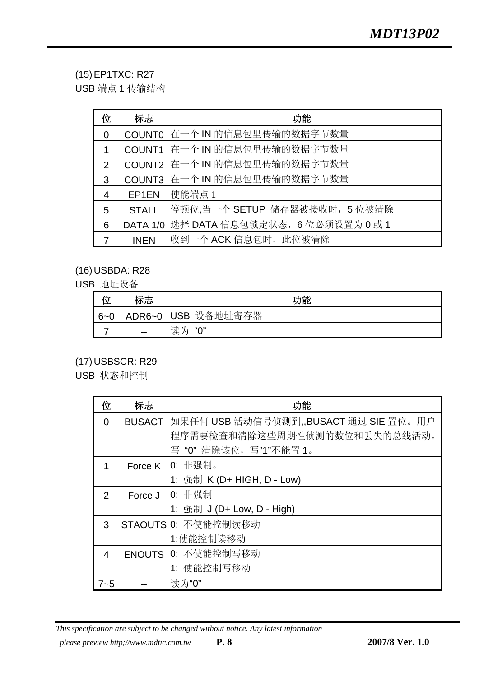## (15) EP1TXC: R27

USB 端点 1 传输结构

| 位              | 标志            | 功能                              |
|----------------|---------------|---------------------------------|
| $\overline{0}$ | <b>COUNT0</b> | 在一个 IN 的信息包里传输的数据字节数量           |
| 1              | COUNT1        | 在一个 IN 的信息包里传输的数据字节数量           |
| 2              | COUNT2        | 在一个 IN 的信息包里传输的数据字节数量           |
| 3              | COUNT3        | 在一个 IN 的信息包里传输的数据字节数量           |
| $\overline{4}$ | EP1EN         | 使能端点1                           |
| 5              | <b>STALL</b>  | 停顿位,当一个 SETUP 储存器被接收时, 5 位被清除   |
| 6              | DATA 1/0      | 选择 DATA 信息包锁定状态, 6 位必须设置为 0 或 1 |
| 7              | <b>INEN</b>   | 收到一个 ACK 信息包时, 此位被清除            |

## (16) USBDA: R28

USB 地址设备

| ட       | 远      | 功能          |
|---------|--------|-------------|
| $6 - 0$ | ADR6~0 | USB 设备地址寄存器 |
|         | $- -$  | 读为<br>"0"   |

## (17) USBSCR: R29

USB 状态和控制

| 位             | 标志            | 功能                                                                                                                  |
|---------------|---------------|---------------------------------------------------------------------------------------------------------------------|
| $\Omega$      | <b>BUSACT</b> | 如果任何 USB 活动信号侦测到,,BUSACT 通过 SIE 置位。用户                                                                               |
|               |               | 程序需要检查和清除这些周期性侦测的数位和丢失的总线活动。                                                                                        |
|               |               | 写"0"清除该位,写"1"不能置 1。                                                                                                 |
|               |               | Force $K$ $\vert 0: \ddagger \ddagger \ddagger \ddagger \ddagger \ddagger \ddagger \ddagger \ddagger \ddagger \Phi$ |
|               |               | 1: 强制 K (D+ HIGH, D - Low)                                                                                          |
| $\mathcal{P}$ | Force J       | 0: 非强制                                                                                                              |
|               |               | 1: 强制 J (D+ Low, D - High)                                                                                          |
| 3             |               | STAOUTS 0: 不使能控制读移动                                                                                                 |
|               |               | 1:使能控制读移动                                                                                                           |
| 4             |               | ENOUTS 0: 不使能控制写移动                                                                                                  |
|               |               | 1: 使能控制写移动                                                                                                          |
| 7~5           |               | 读为"0"                                                                                                               |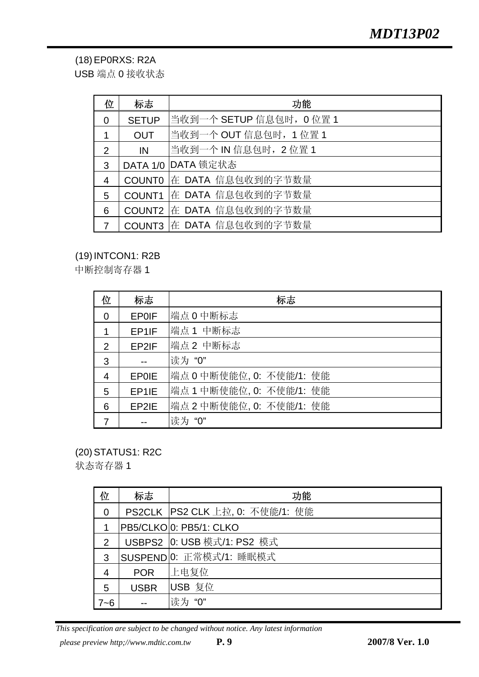(18) EP0RXS: R2A

USB 端点 0 接收状态

| 位              | 标志            | 功能                      |
|----------------|---------------|-------------------------|
| $\Omega$       | <b>SETUP</b>  | 当收到一个 SETUP 信息包时,0 位置 1 |
|                | <b>OUT</b>    | 当收到一个 OUT 信息包时,1 位置 1   |
| 2              | IN            | 当收到一个 IN 信息包时,2 位置 1    |
| 3              |               | DATA 1/0 DATA 锁定状态      |
| $\overline{4}$ | <b>COUNT0</b> | 在 DATA 信息包收到的字节数量       |
| 5              | COUNT1        | 在 DATA 信息包收到的字节数量       |
| 6              | COUNT2        | 在 DATA 信息包收到的字节数量       |
|                | COUNT3        | 在 DATA 信息包收到的字节数量       |

## (19) INTCON1: R2B

中断控制寄存器 1

| 位              | 标志           | 标志                       |
|----------------|--------------|--------------------------|
| $\overline{0}$ | <b>EP0IF</b> | 端点 0 中断标志                |
|                | EP1IF        | 端点 1 中断标志                |
| 2              | EP2IF        | 端点2 中断标志                 |
| 3              |              | 读为"0"                    |
| 4              | <b>EP0IE</b> | 端点 0 中断使能位, 0: 不使能/1: 使能 |
| 5              | EP1IE        | 端点 1 中断使能位, 0: 不使能/1: 使能 |
| 6              | EP2IE        | 端点 2 中断使能位, 0: 不使能/1: 使能 |
|                |              | 读为"0"                    |

(20) STATUS1: R2C

状态寄存器 1

| 位             | 标志          | 功能                              |
|---------------|-------------|---------------------------------|
| 0             |             | PS2CLK PS2 CLK 上拉, 0: 不使能/1: 使能 |
|               |             | PB5/CLKOO: PB5/1: CLKO          |
| $\mathcal{P}$ |             | USBPS2 0: USB 模式/1: PS2 模式      |
| 3             |             | SUSPEND 0: 正常模式/1: 睡眠模式         |
|               | <b>POR</b>  | 上电复位                            |
| 5             | <b>USBR</b> | USB 复位                          |
| 7~6           |             | "0"                             |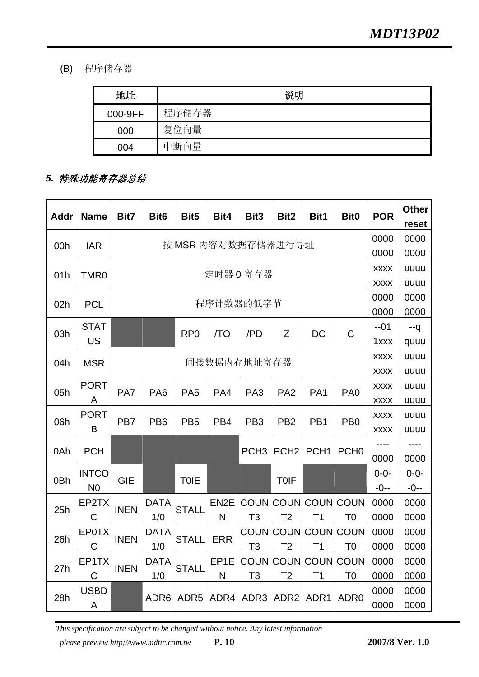(B) 程序储存器

| 地址      | 说明    |
|---------|-------|
| 000-9FF | 程序储存器 |
| 000     | 复位向量  |
| 004     | 中断向量  |

# *5.* 特殊功能寄存器总结

| <b>Addr</b>     | <b>Name</b>    | Bit7        | Bit <sub>6</sub>   | Bit <sub>5</sub> | Bit4              | Bit <sub>3</sub> | Bit <sub>2</sub>    | Bit1             | Bit <sub>0</sub> | <b>POR</b>      | <b>Other</b>  |      |
|-----------------|----------------|-------------|--------------------|------------------|-------------------|------------------|---------------------|------------------|------------------|-----------------|---------------|------|
|                 |                |             |                    |                  |                   |                  |                     |                  |                  | 0000            | reset<br>0000 |      |
| 00h             | <b>IAR</b>     |             | 按 MSR 内容对数据存储器进行寻址 |                  |                   |                  |                     |                  |                  |                 |               |      |
|                 |                |             |                    |                  |                   |                  |                     |                  |                  |                 | 0000          |      |
| 01h             | TMR0           |             |                    |                  |                   | 定时器 0 寄存器        |                     |                  |                  | <b>XXXX</b>     | uuuu          |      |
|                 |                |             |                    |                  |                   |                  |                     |                  |                  | <b>XXXX</b>     | uuuu          |      |
| 02h             | <b>PCL</b>     |             |                    |                  |                   | 程序计数器的低字节        |                     |                  |                  | 0000            | 0000          |      |
|                 |                |             |                    |                  |                   |                  |                     |                  |                  | 0000            | 0000          |      |
| 03h             | <b>STAT</b>    |             |                    | RP <sub>0</sub>  | /TO               | /PD              | Z                   | DC               | $\mathsf{C}$     | $-01$           | --q           |      |
|                 | <b>US</b>      |             |                    |                  |                   |                  |                     |                  |                  | 1xxx            | quuu          |      |
| 04h             | <b>MSR</b>     |             |                    |                  |                   | 间接数据内存地址寄存器      |                     |                  |                  | <b>XXXX</b>     | uuuu          |      |
|                 |                |             |                    |                  |                   |                  |                     |                  |                  | <b>XXXX</b>     | uuuu          |      |
|                 | <b>PORT</b>    |             |                    |                  |                   |                  |                     |                  |                  | <b>XXXX</b>     | uuuu          |      |
| 05h             |                | A           | PA7                | PA <sub>6</sub>  | PA <sub>5</sub>   | PA4              | PA <sub>3</sub>     | PA <sub>2</sub>  | PA <sub>1</sub>  | PA <sub>0</sub> | <b>XXXX</b>   | uuuu |
|                 | <b>PORT</b>    |             |                    |                  |                   |                  |                     |                  |                  | <b>XXXX</b>     | uuuu          |      |
| 06h             |                | B           | PB <sub>7</sub>    | PB <sub>6</sub>  | PB <sub>5</sub>   | PB <sub>4</sub>  | PB <sub>3</sub>     | PB <sub>2</sub>  | PB <sub>1</sub>  | PB <sub>0</sub> | <b>XXXX</b>   | uuuu |
|                 |                |             |                    |                  |                   |                  |                     |                  |                  |                 |               |      |
| 0Ah             | <b>PCH</b>     |             |                    |                  |                   | PCH <sub>3</sub> | PCH <sub>2</sub>    | PCH <sub>1</sub> | PCH <sub>0</sub> | 0000            | 0000          |      |
|                 | <b>INTCO</b>   |             |                    |                  |                   |                  |                     |                  |                  | $0 - 0 -$       | $0 - 0 -$     |      |
| 0 <sub>Bh</sub> | N <sub>0</sub> | <b>GIE</b>  |                    | <b>TOIE</b>      |                   |                  | <b>TOIF</b>         |                  |                  | $-0-$           | $-0-$         |      |
|                 | EP2TX          |             | <b>DATA</b>        |                  | EN <sub>2</sub> E |                  | COUN COUN COUN COUN |                  |                  | 0000            | 0000          |      |
| 25h             | $\mathsf{C}$   | <b>INEN</b> | 1/0                | <b>STALL</b>     | N                 | T <sub>3</sub>   | T <sub>2</sub>      | T <sub>1</sub>   | T <sub>0</sub>   | 0000            | 0000          |      |
|                 | <b>EP0TX</b>   |             | <b>DATA</b>        |                  |                   |                  | COUN COUN COUN COUN |                  |                  | 0000            | 0000          |      |
| 26h             | $\mathsf C$    | <b>INEN</b> | 1/0                | <b>STALL</b>     | <b>ERR</b>        | T <sub>3</sub>   | T <sub>2</sub>      | T1               | T <sub>0</sub>   | 0000            | 0000          |      |
|                 | EP1TX          |             | <b>DATA</b>        |                  | EP <sub>1E</sub>  |                  | COUN COUN COUN COUN |                  |                  | 0000            | 0000          |      |
| 27h             | C              | <b>INEN</b> | 1/0                | <b>STALL</b>     | N                 | T <sub>3</sub>   | T <sub>2</sub>      | T1               | T <sub>0</sub>   | 0000            | 0000          |      |
|                 |                |             |                    |                  |                   |                  |                     |                  |                  |                 |               |      |
| 28h             | <b>USBD</b>    |             | ADR <sub>6</sub>   | ADR <sub>5</sub> | ADR4              | ADR <sub>3</sub> | ADR <sub>2</sub>    | ADR1             | ADR <sub>0</sub> | 0000            | 0000          |      |
|                 | A              |             |                    |                  |                   |                  |                     |                  |                  | 0000            | 0000          |      |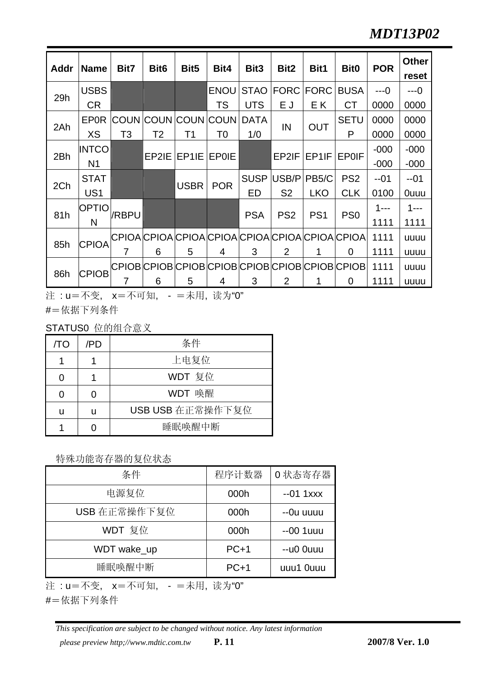| Addr | <b>Name</b>     | Bit7           | Bit <sub>6</sub> | Bit <sub>5</sub>  | Bit4                | Bit <sub>3</sub> | Bit2            | Bit1               | <b>Bit0</b>                                     | <b>POR</b> | <b>Other</b><br>reset |
|------|-----------------|----------------|------------------|-------------------|---------------------|------------------|-----------------|--------------------|-------------------------------------------------|------------|-----------------------|
|      | <b>USBS</b>     |                |                  |                   | <b>ENOU</b>         | <b>STAO</b>      | <b>FORC</b>     | <b>FORC</b>        | <b>BUSA</b>                                     | $---0$     | $---0$                |
| 29h  | <b>CR</b>       |                |                  |                   | TS                  | <b>UTS</b>       | ΕJ              | E K                | <b>CT</b>                                       | 0000       | 0000                  |
|      | <b>EPOR</b>     |                |                  |                   | COUN COUN COUN COUN | <b>DATA</b>      | IN              | <b>OUT</b>         | <b>SETU</b>                                     | 0000       | 0000                  |
| 2Ah  | XS              | T <sub>3</sub> | T <sub>2</sub>   | Τ1                | T0                  | 1/0              |                 |                    | P                                               | 0000       | 0000                  |
|      | <b>INTCO</b>    |                |                  |                   |                     |                  |                 | EP1IF              |                                                 | $-000$     | $-000$                |
| 2Bh  | N <sub>1</sub>  |                |                  | EP2IE EP1IE EP0IE |                     | EP2IF            |                 | <b>EP0IF</b>       | $-000$                                          | $-000$     |                       |
|      | <b>STAT</b>     |                |                  |                   |                     | <b>SUSP</b>      | USB/P           | PB <sub>5</sub> /C | PS <sub>2</sub>                                 | $-01$      | $-01$                 |
| 2Ch  | US <sub>1</sub> |                |                  | <b>USBR</b>       | <b>POR</b>          | ED               | S <sub>2</sub>  | <b>LKO</b>         | <b>CLK</b>                                      | 0100       | <b>Ouuu</b>           |
| 81h  | <b>OPTIO</b>    | /RBPU          |                  |                   |                     | <b>PSA</b>       | PS <sub>2</sub> | PS <sub>1</sub>    | PS <sub>0</sub>                                 | $1 - -$    | $1 - -$               |
|      | N               |                |                  |                   |                     |                  |                 |                    |                                                 | 1111       | 1111                  |
|      | <b>CPIOA</b>    |                |                  |                   |                     |                  |                 |                    | CPIOA CPIOA CPIOA CPIOA CPIOA CPIOA CPIOA CPIOA | 1111       | uuuu                  |
| 85h  |                 | 7              | 6                | 5                 | 4                   | 3                | $\overline{2}$  | 1                  | 0                                               | 1111       | uuuu                  |
| 86h  | <b>CPIOB</b>    |                |                  |                   |                     |                  |                 |                    | CPIOB CPIOB CPIOB CPIOB CPIOB CPIOB CPIOB CPIOB | 1111       | uuuu                  |
|      |                 |                | 6                | 5                 | 4                   | 3                | $\overline{2}$  |                    | 0                                               | 1111       | uuuu                  |

注 : u=不变, x=不可知, - =未用, 读为"0"

#=依据下列条件

STATUS0 位的组合意义

| /TO | /PD | 条件               |  |  |  |
|-----|-----|------------------|--|--|--|
|     |     | 上电复位             |  |  |  |
|     |     | WDT 复位           |  |  |  |
|     |     | WDT 唤醒           |  |  |  |
|     | U   | USB USB 在正常操作下复位 |  |  |  |
|     |     | 睡眠唤醒中断           |  |  |  |

## 特殊功能寄存器的复位状态

| 条件           | 程序计数器  | 0 状态寄存器    |
|--------------|--------|------------|
| 电源复位         | 000h   | $-01$ 1xxx |
| USB 在正常操作下复位 | 000h   | --Ou uuuu  |
| WDT 复位       | 000h   | $-001$ uuu |
| WDT wake_up  | $PC+1$ | --u0 0uuu  |
| 睡眠唤醒中断       | $PC+1$ | uuu1 0uuu  |

注 : u=不变, x=不可知, - =未用, 读为"0"

#=依据下列条件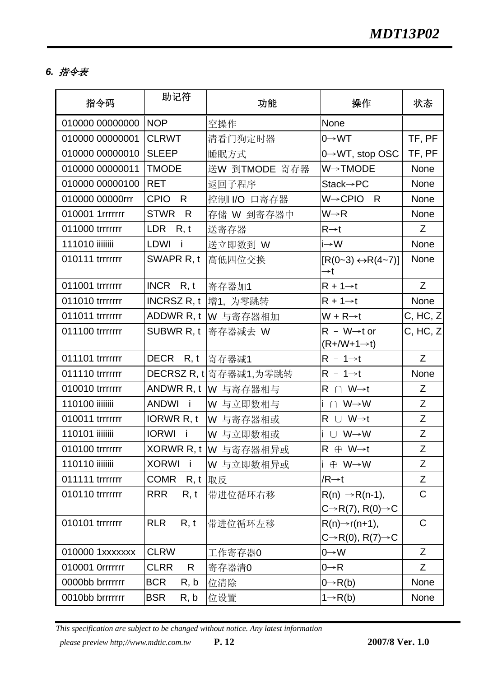# *6.* 指令表

| 指令码             | 助记符                          | 功能                     | 操作                                                                    | 状态                                                          |
|-----------------|------------------------------|------------------------|-----------------------------------------------------------------------|-------------------------------------------------------------|
| 010000 00000000 | <b>NOP</b>                   | 空操作                    | None                                                                  |                                                             |
| 010000 00000001 | <b>CLRWT</b>                 | 清看门狗定时器                | $0 \rightarrow WT$                                                    | TF, PF                                                      |
| 010000 00000010 | <b>SLEEP</b>                 | 睡眠方式                   | 0→WT, stop OSC                                                        | TF, PF                                                      |
| 010000 00000011 | <b>TMODE</b>                 | 送W 到TMODE 寄存器          | W→TMODE                                                               | None                                                        |
| 010000 00000100 | <b>RET</b>                   | 返回子程序                  | $Stack \rightarrow PC$                                                | None                                                        |
| 010000 00000rrr | CPIO R                       | 控制I/O 口寄存器             | W→CPIO R                                                              | None                                                        |
| 010001 1rrrrrrr | <b>STWR</b><br>R             | 存储 W 到寄存器中             | $W \rightarrow R$                                                     | None                                                        |
| 011000 trrrrrrr | LDR $R, t$                   | 送寄存器                   | $R\rightarrow t$                                                      | Z                                                           |
| 111010 iiiiiiii | LDWI i                       | 送立即数到 W                | $i \rightarrow W$                                                     | None                                                        |
| 010111 trrrrrrr | SWAPR R, t                   | 高低四位交换                 | $[R(0-3) \leftrightarrow R(4-7)]$<br>→t                               | None                                                        |
| 011001 trrrrrrr | $INCR$ R, t                  | 寄存器加1                  | $R + 1 \rightarrow t$                                                 | Z                                                           |
| 011010 trrrrrrr |                              | INCRSZ R, t   增1, 为零跳转 | $R + 1 \rightarrow t$                                                 | None                                                        |
| 011011 trrrrrrr |                              | ADDWR R, t   W 与寄存器相加  | $W + R \rightarrow t$                                                 | C, HC, Z                                                    |
| 011100 trrrrrrr |                              | SUBWR R, t 寄存器减去 W     | $R - W \rightarrow t$ or<br>$(R+/W+1\rightarrow t)$                   | C, HC, Z                                                    |
| 011101 trrrrrrr | DECR R, t  寄存器减1             |                        | $R - 1 \rightarrow t$                                                 | Z                                                           |
| 011110 trrrrrrr |                              | DECRSZ R, t 寄存器减1,为零跳转 | $R - 1 \rightarrow t$                                                 | None                                                        |
| 010010 trrrrrrr |                              | ANDWR R, t   W 与寄存器相与  | $R \cap W \rightarrow t$                                              | Z                                                           |
| 110100 iiiiiiii | <b>ANDWI</b><br>$\mathbf{I}$ | Ⅳ 与立即数相与               | $i \cap W \rightarrow W$                                              | Z                                                           |
| 010011 trrrrrrr | IORWR R, t                   | W 与寄存器相或               | $R \cup W \rightarrow t$                                              | Z                                                           |
| 110101 iiiiiiii | <b>IORWI</b><br>- i          | W 与立即数相或               | i ∪ W→W                                                               | Z                                                           |
| 010100 trrrrrrr |                              | XORWR R, t   W 与寄存器相异或 | $R \oplus W \rightarrow t$                                            | $\mathsf{Z}$                                                |
| 110110 iiiiiiii | <b>XORWI</b><br>i.           | W 与立即数相异或              | $i \oplus W \rightarrow W$                                            | $\mathsf{Z}% _{M_{1},M_{2}}^{\alpha,\beta}(\mathbb{R}^{2})$ |
| 011111 trrrrrrr | <b>COMR</b>                  | <b>R</b> , t  取反       | $/R \rightarrow t$                                                    | Z                                                           |
| 010110 trrrrrrr | <b>RRR</b><br>R, t           | 带进位循环右移                | $R(n) \rightarrow R(n-1)$ ,                                           | $\mathsf C$                                                 |
|                 |                              |                        | $C\rightarrow R(7), R(0)\rightarrow C$                                |                                                             |
| 010101 trrrrrrr | <b>RLR</b><br>R, t           | 带进位循环左移                | $R(n) \rightarrow r(n+1)$ ,<br>$C\rightarrow R(0), R(7)\rightarrow C$ | $\mathsf C$                                                 |
| 010000 1xxxxxxx | <b>CLRW</b>                  | 工作寄存器0                 | $0 \rightarrow W$                                                     | Z                                                           |
| 010001 Orrrrrrr | <b>CLRR</b><br>R.            | 寄存器清0                  | $0 \rightarrow R$                                                     | Z                                                           |
| 0000bb brrrrrrr | <b>BCR</b><br>R, b           | 位清除                    | $0 \rightarrow R(b)$                                                  | None                                                        |
| 0010bb brrrrrrr | <b>BSR</b><br>R, b           | 位设置                    | $1 \rightarrow R(b)$                                                  | None                                                        |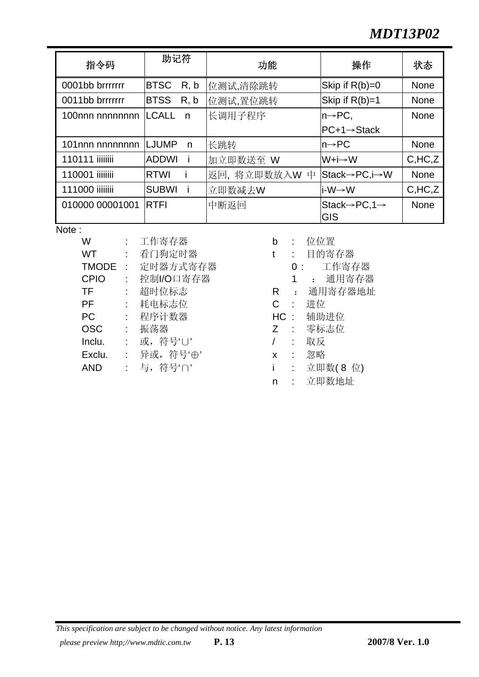# *MDT13P02*

| 指令码                    | 助记符          |      | 功能            | 操作                                              | 状态          |
|------------------------|--------------|------|---------------|-------------------------------------------------|-------------|
| 0001bb brrrrrrr        | <b>BTSC</b>  | R, b | 位测试,清除跳转      | Skip if $R(b)=0$                                | None        |
| 0011bb brrrrrrr        | <b>BTSS</b>  | R, b | 位测试,置位跳转      | Skip if $R(b)=1$                                | None        |
| 100nnn nnnnnnnn ILCALL |              | n    | 长调用子程序        | $ n \rightarrow PC$                             | None        |
|                        |              |      |               | <b>PC+1→Stack</b>                               |             |
| 101nnn nnnnnnnn LJUMP  |              | n    | 长跳转           | $n\rightarrow PC$                               | <b>None</b> |
| 110111 iiiiiiii        | <b>ADDWI</b> |      | 加立即数送至 W      | W+i→W                                           | C,HC, Z     |
| 110001 iiiiiiii        | <b>RTWI</b>  |      | 返回, 将立即数放入W 中 | Stack→PC,i→W                                    | None        |
| 111000 iiiiiiii        | <b>SUBWI</b> |      | 立即数减去W        | li-W→W                                          | C,HC, Z     |
| 010000 00001001        | <b>RTFI</b>  |      | 中断返回          | Stack $\rightarrow$ PC, 1 $\rightarrow$<br>IGIS | None        |

Note:

| W            |            | 工作寄存器      | b            |                | 位位           |
|--------------|------------|------------|--------------|----------------|--------------|
| <b>WT</b>    | t.         | 看门狗定时器     | t            |                | 目的           |
| <b>TMODE</b> | $\sim 10$  | 定时器方式寄存器   |              | 0 :            |              |
| <b>CPIO</b>  |            | 控制I/O口寄存器  |              | 1              | $\mathbf{r}$ |
| TF           | ÷          | 超时位标志      | R.           | $\ddot{\cdot}$ | 通用           |
| <b>PF</b>    | $\sim 10$  | 耗电标志位      | $\mathsf{C}$ | $\sim 10$      | 进位           |
| <b>PC</b>    | $\sim 100$ | 程序计数器      | HC:          |                | 辅助           |
| <b>OSC</b>   | $\sim$     | 振荡器        | Z            | $\sim 10$      | 零标           |
| Inclu.       |            | : 或,符号'∪'  |              |                | 取反           |
| Exclu.       |            | : 异或,符号'⊕' | $\mathsf{X}$ | $\mathbb{R}$   | 忽略           |
| <b>AND</b>   |            | : 与, 符号'∩' |              |                | 立即           |
|              |            |            |              |                |              |

- b : 位位置
- t : 目的寄存器
	- 0: 工作寄存器
		- CPIO : 控制I/O口寄存器 1 : 通用寄存器
- R : 通用寄存器地址
- 
- HC : 辅助进位
- Z : 零标志位
- 
- 
- i : 立即数(8 位)
- n : 立即数地址